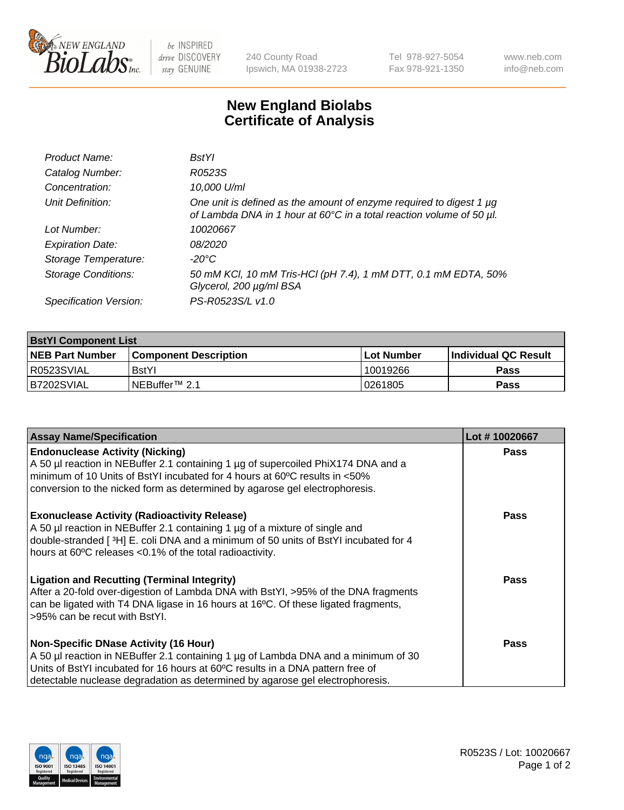

be INSPIRED drive DISCOVERY stay GENUINE

240 County Road Ipswich, MA 01938-2723 Tel 978-927-5054 Fax 978-921-1350

www.neb.com info@neb.com

## **New England Biolabs Certificate of Analysis**

| Product Name:              | <b>BstYl</b>                                                                                                                                     |
|----------------------------|--------------------------------------------------------------------------------------------------------------------------------------------------|
| Catalog Number:            | R0523S                                                                                                                                           |
| Concentration:             | 10,000 U/ml                                                                                                                                      |
| Unit Definition:           | One unit is defined as the amount of enzyme required to digest 1 $\mu$ g<br>of Lambda DNA in 1 hour at 60°C in a total reaction volume of 50 µl. |
| Lot Number:                | 10020667                                                                                                                                         |
| <b>Expiration Date:</b>    | 08/2020                                                                                                                                          |
| Storage Temperature:       | -20°C                                                                                                                                            |
| <b>Storage Conditions:</b> | 50 mM KCl, 10 mM Tris-HCl (pH 7.4), 1 mM DTT, 0.1 mM EDTA, 50%<br>Glycerol, 200 µg/ml BSA                                                        |
| Specification Version:     | PS-R0523S/L v1.0                                                                                                                                 |

| <b>BstYI Component List</b> |                              |              |                             |  |  |
|-----------------------------|------------------------------|--------------|-----------------------------|--|--|
| <b>NEB Part Number</b>      | <b>Component Description</b> | l Lot Number | <b>Individual QC Result</b> |  |  |
| R0523SVIAL                  | <b>BstYI</b>                 | 10019266     | Pass                        |  |  |
| B7202SVIAL                  | INEBuffer™ 2.1               | 10261805     | Pass                        |  |  |

| <b>Assay Name/Specification</b>                                                                                                                                                                                                                                                                       | Lot #10020667 |
|-------------------------------------------------------------------------------------------------------------------------------------------------------------------------------------------------------------------------------------------------------------------------------------------------------|---------------|
| <b>Endonuclease Activity (Nicking)</b><br>A 50 µl reaction in NEBuffer 2.1 containing 1 µg of supercoiled PhiX174 DNA and a<br>minimum of 10 Units of BstYI incubated for 4 hours at 60°C results in <50%<br>conversion to the nicked form as determined by agarose gel electrophoresis.              | <b>Pass</b>   |
| <b>Exonuclease Activity (Radioactivity Release)</b><br>A 50 µl reaction in NEBuffer 2.1 containing 1 µg of a mixture of single and<br>double-stranded [3H] E. coli DNA and a minimum of 50 units of BstYl incubated for 4<br>hours at 60°C releases <0.1% of the total radioactivity.                 | <b>Pass</b>   |
| <b>Ligation and Recutting (Terminal Integrity)</b><br>After a 20-fold over-digestion of Lambda DNA with BstYI, >95% of the DNA fragments<br>can be ligated with T4 DNA ligase in 16 hours at 16°C. Of these ligated fragments,<br>>95% can be recut with BstYl.                                       | <b>Pass</b>   |
| <b>Non-Specific DNase Activity (16 Hour)</b><br>A 50 µl reaction in NEBuffer 2.1 containing 1 µg of Lambda DNA and a minimum of 30<br>Units of BstYI incubated for 16 hours at 60°C results in a DNA pattern free of<br>detectable nuclease degradation as determined by agarose gel electrophoresis. | Pass          |